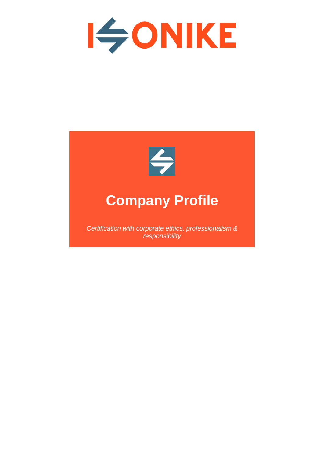



## **Company Profile**

*Certification with corporate ethics, professionalism & responsibility*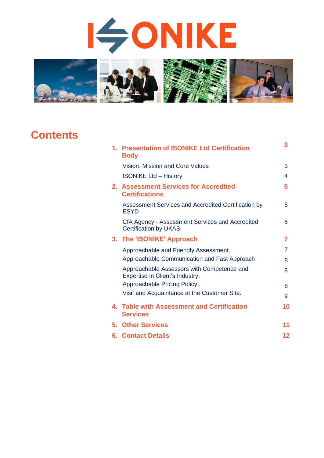# **ISONIKE**



## **Contents**

|    | 1. Presentation of ISONIKE Ltd Certification<br><b>Body</b>                     | 3              |
|----|---------------------------------------------------------------------------------|----------------|
|    | Vision, Mission and Core Values                                                 | 3              |
|    | <b>ISONIKE Ltd - History</b>                                                    | 4              |
|    | 2. Assessment Services for Accredited<br><b>Certifications</b>                  | 5              |
|    | Assessment Services and Accredited Certification by<br><b>ESYD</b>              | 5              |
|    | CfA Agency - Assessment Services and Accredited<br><b>Certification by UKAS</b> | 6              |
|    | 3. The 'ISONIKE' Approach                                                       | 7              |
|    | Approachable and Friendly Assessment.                                           | $\overline{7}$ |
|    | Approachable Communication and Fast Approach                                    | 8              |
|    | Approachable Assessors with Competence and<br>Expertise in Client's Industry.   | 8              |
|    | Approachable Pricing Policy.                                                    | 8              |
|    | Visit and Acquaintance at the Customer Site.                                    | 9              |
|    | 4. Table with Assessment and Certification<br><b>Services</b>                   | 10             |
| 5. | <b>Other Services</b>                                                           | 11             |
|    | <b>6. Contact Details</b>                                                       | 12             |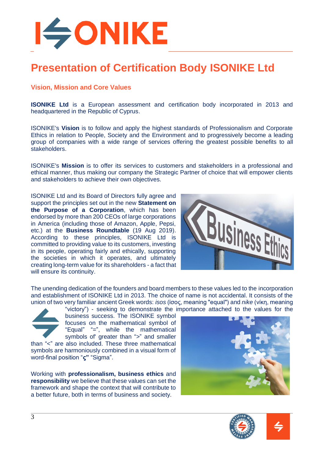

### **Presentation of Certification Body ISONIKE Ltd**

#### **Vision, Mission and Core Values**

**ISONIKE Ltd** is a European assessment and certification body incorporated in 2013 and headquartered in the Republic of Cyprus.

ISONIKE's **Vision** is to follow and apply the highest standards of Professionalism and Corporate Ethics in relation to People, Society and the Environment and to progressively become a leading group of companies with a wide range of services offering the greatest possible benefits to all stakeholders.

ISONIKE's **Mission** is to offer its services to customers and stakeholders in a professional and ethical manner, thus making our company the Strategic Partner of choice that will empower clients and stakeholders to achieve their own objectives.

ISONIKE Ltd and its Board of Directors fully agree and support the principles set out in the new **Statement on the Purpose of a Corporation**, which has been endorsed by more than 200 CEOs of large corporations in America (including those of Amazon, Apple, Pepsi, etc.) at the **Business Roundtable** (19 Aug 2019). According to these principles, ISONIKE Ltd is committed to providing value to its customers, investing in its people, operating fairly and ethically, supporting the societies in which it operates, and ultimately creating long-term value for its shareholders - a fact that will ensure its continuity.



The unending dedication of the founders and board members to these values led to the incorporation and establishment of ISONIKE Ltd in 2013. The choice of name is not accidental. It consists of the union of two very familiar ancient Greek words: *isos* (ίσος, meaning "equal") and *nike* (νίκη, meaning



"victory") - seeking to demonstrate the importance attached to the values for the business success. The ISONIKE symbol focuses on the mathematical symbol of "Equal" "=", while the mathematical symbols of greater than ">" and smaller

than "<" are also included. These three mathematical symbols are harmoniously combined in a visual form of word-final position "**ς"** "Sigma".

Working with **professionalism, business ethics** and **responsibility** we believe that these values can set the framework and shape the context that will contribute to a better future, both in terms of business and society.



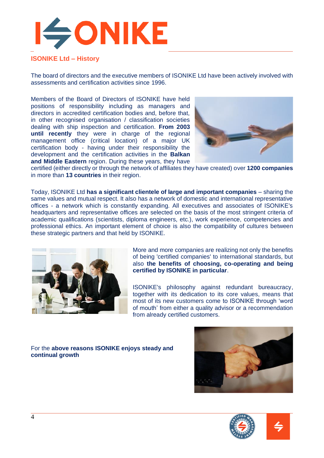

#### **ISONIKE Ltd – History**

The board of directors and the executive members of ISONIKE Ltd have been actively involved with assessments and certification activities since 1996.

Members of the Board of Directors of ISONIKE have held positions of responsibility including as managers and directors in accredited certification bodies and, before that, in other recognised organisation / classification societies dealing with ship inspection and certification. **From 2003 until recently** they were in charge of the regional management office (critical location) of a major UK certification body - having under their responsibility the development and the certification activities in the **Balkan and Middle Eastern** region. During these years, they have



certified (either directly or through the network of affiliates they have created) over **1200 companies** in more than **13 countries** in their region.

Today, ISONIKE Ltd **has a significant clientele of large and important companies** – sharing the same values and mutual respect. It also has a network of domestic and international representative offices - a network which is constantly expanding. All executives and associates of ISONIKE's headquarters and representative offices are selected on the basis of the most stringent criteria of academic qualifications (scientists, diploma engineers, etc.), work experience, competencies and professional ethics. An important element of choice is also the compatibility of cultures between these strategic partners and that held by ISONIKE.



More and more companies are realizing not only the benefits of being 'certified companies' to international standards, but also **the benefits of choosing, co-operating and being certified by ISONIKE in particular**.

ISONIKE's philosophy against redundant bureaucracy, together with its dedication to its core values, means that most of its new customers come to ISONIKE through 'word of mouth' from either a quality advisor or a recommendation from already certified customers.

For the **above reasons ISONIKE enjoys steady and continual growth**





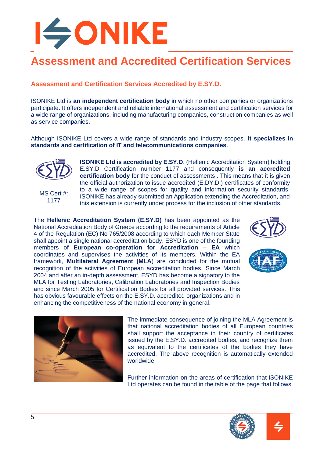

## **Assessment and Accredited Certification Services**

**Assessment and Certification Services Accredited by E.SY.D.** 

ISONIKE Ltd is **an independent certification body** in which no other companies or organizations participate. It offers independent and reliable international assessment and certification services for a wide range of organizations, including manufacturing companies, construction companies as well as service companies.

Although ISONIKE Ltd covers a wide range of standards and industry scopes, **it specializes in standards and certification of IT and telecommunications companies**.

**ISONIKE Ltd is accredited by E.SY.D**. (Hellenic Accreditation System) holding



MS Cert #: 1177 E.SY.D Certification number [1177](http://www.esyd.gr/portal/p/esyd/en/showOrgInfo.jsp?id=224285) and consequently **is an accredited certification body** for the conduct of assessments . This means that it is given the official authorization to issue accredited (E.DY.D.) certificates of conformity to a wide range of scopes for quality and information security standards. ISONIKE has already submitted an Application extending the Accreditation, and this extension is currently under process for the inclusion of other standards.

The **Hellenic Accreditation System (E.SY.D)** has been appointed as the National Accreditation Body of Greece according to the requirements of Article 4 of the Regulation (EC) No 765/2008 according to which each Member State shall appoint a single national accreditation body. ESYD is one of the founding members of **European co-operation for Accreditation – ΕΑ** which coordinates and supervises the activities of its members. Within the EA framework, **Multilateral Agreement (MLA**) are concluded for the mutual recognition of the activities of European accreditation bodies. Since March 2004 and after an in-depth assessment, ESYD has become a signatory to the MLA for Testing Laboratories, Calibration Laboratories and Inspection Bodies and since March 2005 for Certification Bodies for all provided services. This has obvious favourable effects on the E.SY.D. accredited organizations and in enhancing the competitiveness of the national economy in general.







The immediate consequence of joining the MLA Agreement is that national accreditation bodies of all European countries shall support the acceptance in their country of certificates issued by the E.SY.D. accredited bodies, and recognize them as equivalent to the certificates of the bodies they have accredited. The above recognition is automatically extended worldwide

Further information on the areas of certification that ISONIKE Ltd operates can be found in the table of the page that follows.



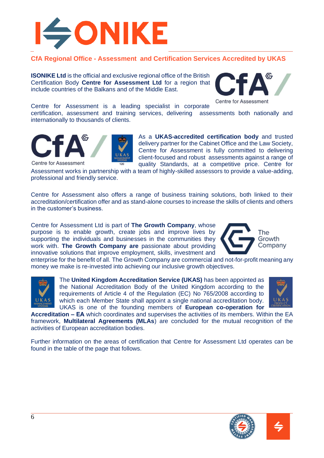

#### **CfA Regional Office - Assessment and Certification Services Accredited by UKAS**

**ISONIKE Ltd** is the official and exclusive regional office of the British Certification Body **Centre for Assessment Ltd** for a region that include countries of the Balkans and of the Middle East.



Centre for Assessment is a leading specialist in corporate certification, assessment and training services, delivering assessments both nationally and internationally to thousands of clients.



**Centre for Assessment** 

As a **UKAS-accredited certification body** and trusted delivery partner for the Cabinet Office and the Law Society, Centre for Assessment is fully committed to delivering client-focused and robust assessments against a range of quality Standards, at a competitive price. Centre for

Assessment works in partnership with a team of highly-skilled assessors to provide a value-adding, professional and friendly service.

Centre for Assessment also offers a range of business training solutions, both linked to their accreditation/certification offer and as stand-alone courses to increase the skills of clients and others in the customer's business.

Centre for Assessment Ltd is part of **The Growth Company**, whose purpose is to enable growth, create jobs and improve lives by supporting the individuals and businesses in the communities they work with. **The Growth Company are** passionate about providing innovative solutions that improve employment, skills, investment and



enterprise for the benefit of all. The Growth Company are commercial and not-for-profit meaning any money we make is re-invested into achieving our inclusive growth objectives.



The **United Kingdom Accreditation Service (UKAS)** has been appointed as the National Accreditation Body of the United Kingdom according to the requirements of Article 4 of the Regulation (EC) No 765/2008 according to which each Member State shall appoint a single national accreditation body. UKAS is one of the founding members of **European co-operation for** 



**Accreditation – ΕΑ** which coordinates and supervises the activities of its members. Within the EA framework, **Multilateral Agreements (MLAs**) are concluded for the mutual recognition of the activities of European accreditation bodies.

Further information on the areas of certification that Centre for Assessment Ltd operates can be found in the table of the page that follows.

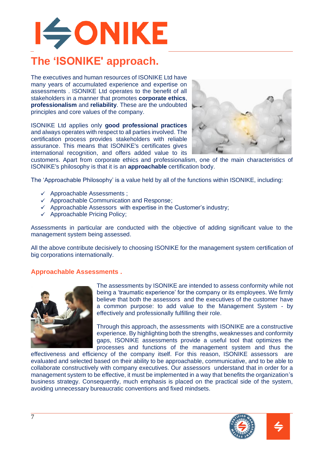## **ISONIKE The 'ISONIKE' approach.**

The executives and human resources of ISONIKE Ltd have many years of accumulated experience and expertise on assessments . ISONIKE Ltd operates to the benefit of all stakeholders in a manner that promotes **corporate ethics**, **professionalism** and **reliability**. These are the undoubted principles and core values of the company.

ISONIKE Ltd applies only **good professional practices** and always operates with respect to all parties involved. The certification process provides stakeholders with reliable assurance. This means that ISONIKE's certificates gives international recognition, and offers added value to its



customers. Apart from corporate ethics and professionalism, one of the main characteristics of ISONIKE's philosophy is that it is an **approachable** certification body.

The 'Approachable Philosophy' is a value held by all of the functions within ISONIKE, including:

- ✓ Approachable Assessments ;
- $\checkmark$  Approachable Communication and Response;
- $\checkmark$  Approachable Assessors with expertise in the Customer's industry;
- $\checkmark$  Approachable Pricing Policy;

Assessments in particular are conducted with the objective of adding significant value to the management system being assessed.

All the above contribute decisively to choosing ISONIKE for the management system certification of big corporations internationally.

#### **Approachable Assessments .**



The assessments by ISONIKE are intended to assess conformity while not being a 'traumatic experience' for the company or its employees. We firmly believe that both the assessors and the executives of the customer have a common purpose: to add value to the Management System - by effectively and professionally fulfilling their role.

Through this approach, the assessments with ISONIKE are a constructive experience. By highlighting both the strengths, weaknesses and conformity gaps, ISONIKE assessments provide a useful tool that optimizes the processes and functions of the management system and thus the

effectiveness and efficiency of the company itself. For this reason, ISONIKE assessors are evaluated and selected based on their ability to be approachable, communicative, and to be able to collaborate constructively with company executives. Our assessors understand that in order for a management system to be effective, it must be implemented in a way that benefits the organization's business strategy. Consequently, much emphasis is placed on the practical side of the system, avoiding unnecessary bureaucratic conventions and fixed mindsets.



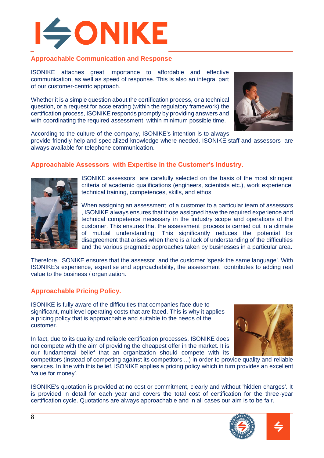

#### **Approachable Communication and Response**

ISONIKE attaches great importance to affordable and effective communication, as well as speed of response. This is also an integral part of our customer-centric approach.

Whether it is a simple question about the certification process, or a technical question, or a request for accelerating (within the regulatory framework) the certification process, ISONIKE responds promptly by providing answers and with coordinating the required assessment within minimum possible time.



According to the culture of the company, ISONIKE's intention is to always

provide friendly help and specialized knowledge where needed. ISONIKE staff and assessors are always available for telephone communication.

#### **Approachable Assessors with Expertise in the Customer's Industry.**



ISONIKE assessors are carefully selected on the basis of the most stringent criteria of academic qualifications (engineers, scientists etc.), work experience, technical training, competences, skills, and ethos.

When assigning an assessment of a customer to a particular team of assessors , ISONIKE always ensures that those assigned have the required experience and technical competence necessary in the industry scope and operations of the customer. This ensures that the assessment process is carried out in a climate of mutual understanding. This significantly reduces the potential for disagreement that arises when there is a lack of understanding of the difficulties and the various pragmatic approaches taken by businesses in a particular area.

Therefore, ISONIKE ensures that the assessor and the customer 'speak the same language'. With ISONIKE's experience, expertise and approachability, the assessment contributes to adding real value to the business / organization.

#### **Approachable Pricing Policy.**

ISONIKE is fully aware of the difficulties that companies face due to significant, multilevel operating costs that are faced. This is why it applies a pricing policy that is approachable and suitable to the needs of the customer.

In fact, due to its quality and reliable certification processes, ISONIKE does not compete with the aim of providing the cheapest offer in the market. It is our fundamental belief that an organization should compete with its



competitors (instead of competing against its competitors ...) in order to provide quality and reliable services. In line with this belief, ISONIKE applies a pricing policy which in turn provides an excellent 'value for money'.

ISONIKE's quotation is provided at no cost or commitment, clearly and without 'hidden charges'. It is provided in detail for each year and covers the total cost of certification for the three-year certification cycle. Quotations are always approachable and in all cases our aim is to be fair.

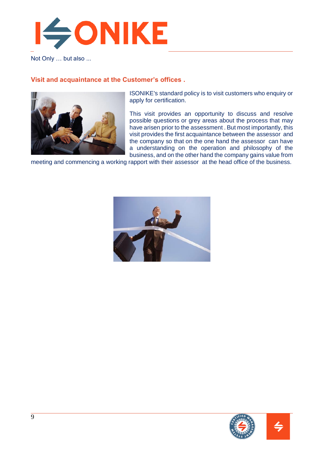

Not Only … but also ...

#### **Visit and acquaintance at the Customer's offices .**



ISONIKE's standard policy is to visit customers who enquiry or apply for certification.

This visit provides an opportunity to discuss and resolve possible questions or grey areas about the process that may have arisen prior to the assessment . But most importantly, this visit provides the first acquaintance between the assessor and the company so that on the one hand the assessor can have a understanding on the operation and philosophy of the business, and on the other hand the company gains value from

meeting and commencing a working rapport with their assessor at the head office of the business.



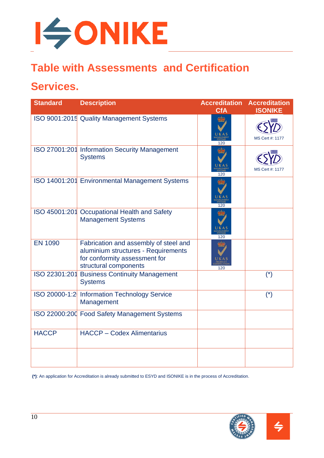

## **Table with Assessments and Certification**

## **Services.**

| <b>Standard</b> | <b>Description</b>                                                                                                                     | <b>Accreditation</b><br><b>CfA</b> | <b>Accreditation</b><br><b>ISONIKE</b> |
|-----------------|----------------------------------------------------------------------------------------------------------------------------------------|------------------------------------|----------------------------------------|
|                 | ISO 9001:2015 Quality Management Systems                                                                                               |                                    | MS Cert #: 1177                        |
|                 | ISO 27001:201 Information Security Management<br><b>Systems</b>                                                                        | 120                                | MS Cert #: 1177                        |
|                 | ISO 14001:201 Environmental Management Systems                                                                                         |                                    |                                        |
|                 | ISO 45001:201 Occupational Health and Safety<br><b>Management Systems</b>                                                              | 120                                |                                        |
| <b>EN 1090</b>  | Fabrication and assembly of steel and<br>aluminium structures - Requirements<br>for conformity assessment for<br>structural components | 120                                |                                        |
|                 | ISO 22301:201 Business Continuity Management<br><b>Systems</b>                                                                         |                                    | $(*)$                                  |
|                 | ISO 20000-1:2 Information Technology Service<br>Management                                                                             |                                    | $(*)$                                  |
|                 | ISO 22000:200 Food Safety Management Systems                                                                                           |                                    |                                        |
| <b>HACCP</b>    | <b>HACCP - Codex Alimentarius</b>                                                                                                      |                                    |                                        |
|                 |                                                                                                                                        |                                    |                                        |

**(\*)**: An application for Accreditation is already submitted to ESYD and ISONIKE is in the process of Accreditation.

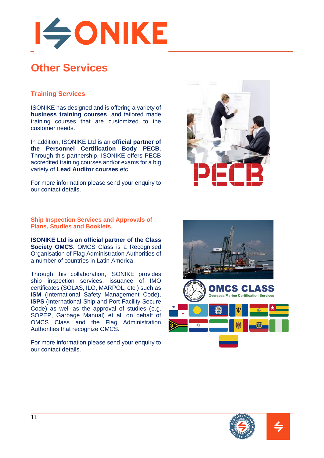

## **Other Services**

#### **Training Services**

ISONIKE has designed and is offering a variety of **business training courses**, and tailored made training courses that are customized to the customer needs.

In addition, ISONIKE Ltd is an **official partner of the Personnel Certification Body PECB**. Through this partnership, ISONIKE offers PECB accredited training courses and/or exams for a big variety of **Lead Auditor courses** etc.

For more information please send your enquiry to our contact details.

**Ship Inspection Services and Approvals of Plans, Studies and Booklets** 

**ISONIKE Ltd is an official partner of the Class Society OMCS**. OMCS Class is a Recognised Organisation of Flag Administration Authorities of a number of countries in Latin America.

Through this collaboration, ISONIKE provides ship inspection services, issuance of IMO certificates (SOLAS, ILO, MARPOL, etc.) such as **ISM** (International Safety Management Code), **ISPS** (International Ship and Port Facility Secure Code) as well as the approval of studies (e.g. SOPEP, Garbage Manual) et al. on behalf of OMCS Class and the Flag Administration Authorities that recognize OMCS.

For more information please send your enquiry to our contact details.